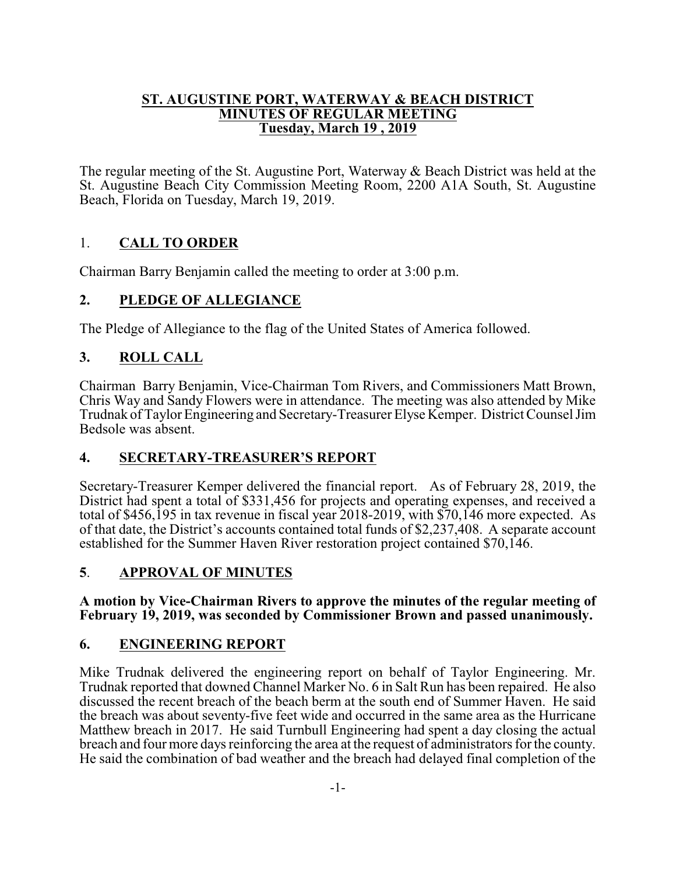#### **ST. AUGUSTINE PORT, WATERWAY & BEACH DISTRICT MINUTES OF REGULAR MEETING Tuesday, March 19 , 2019**

The regular meeting of the St. Augustine Port, Waterway & Beach District was held at the St. Augustine Beach City Commission Meeting Room, 2200 A1A South, St. Augustine Beach, Florida on Tuesday, March 19, 2019.

# 1. **CALL TO ORDER**

Chairman Barry Benjamin called the meeting to order at 3:00 p.m.

# **2. PLEDGE OF ALLEGIANCE**

The Pledge of Allegiance to the flag of the United States of America followed.

# **3. ROLL CALL**

Chairman Barry Benjamin, Vice-Chairman Tom Rivers, and Commissioners Matt Brown, Chris Way and Sandy Flowers were in attendance. The meeting was also attended by Mike Trudnak of Taylor Engineering and Secretary-Treasurer Elyse Kemper. District Counsel Jim Bedsole was absent.

# **4. SECRETARY-TREASURER'S REPORT**

Secretary-Treasurer Kemper delivered the financial report. As of February 28, 2019, the District had spent a total of \$331,456 for projects and operating expenses, and received a total of \$456,195 in tax revenue in fiscal year 2018-2019, with \$70,146 more expected. As of that date, the District's accounts contained total funds of \$2,237,408. A separate account established for the Summer Haven River restoration project contained \$70,146.

# **5**. **APPROVAL OF MINUTES**

#### **A motion by Vice-Chairman Rivers to approve the minutes of the regular meeting of February 19, 2019, was seconded by Commissioner Brown and passed unanimously.**

# **6. ENGINEERING REPORT**

Mike Trudnak delivered the engineering report on behalf of Taylor Engineering. Mr. Trudnak reported that downed Channel Marker No. 6 in Salt Run has been repaired. He also discussed the recent breach of the beach berm at the south end of Summer Haven. He said the breach was about seventy-five feet wide and occurred in the same area as the Hurricane Matthew breach in 2017. He said Turnbull Engineering had spent a day closing the actual breach and four more days reinforcing the area at the request of administrators for the county. He said the combination of bad weather and the breach had delayed final completion of the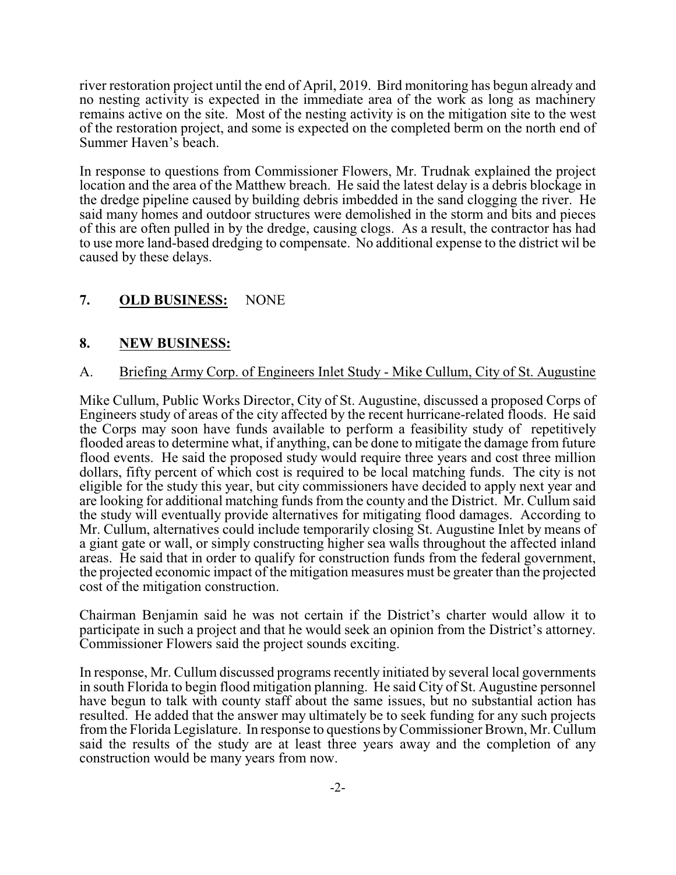river restoration project until the end of April, 2019. Bird monitoring has begun already and no nesting activity is expected in the immediate area of the work as long as machinery remains active on the site. Most of the nesting activity is on the mitigation site to the west of the restoration project, and some is expected on the completed berm on the north end of Summer Haven's beach.

In response to questions from Commissioner Flowers, Mr. Trudnak explained the project location and the area of the Matthew breach. He said the latest delay is a debris blockage in the dredge pipeline caused by building debris imbedded in the sand clogging the river. He said many homes and outdoor structures were demolished in the storm and bits and pieces of this are often pulled in by the dredge, causing clogs. As a result, the contractor has had to use more land-based dredging to compensate. No additional expense to the district wil be caused by these delays.

# **7. OLD BUSINESS:** NONE

#### **8. NEW BUSINESS:**

#### A. Briefing Army Corp. of Engineers Inlet Study - Mike Cullum, City of St. Augustine

Mike Cullum, Public Works Director, City of St. Augustine, discussed a proposed Corps of Engineers study of areas of the city affected by the recent hurricane-related floods. He said the Corps may soon have funds available to perform a feasibility study of repetitively flooded areas to determine what, if anything, can be done to mitigate the damage from future flood events. He said the proposed study would require three years and cost three million dollars, fifty percent of which cost is required to be local matching funds. The city is not eligible for the study this year, but city commissioners have decided to apply next year and are looking for additional matching funds from the county and the District. Mr. Cullum said the study will eventually provide alternatives for mitigating flood damages. According to Mr. Cullum, alternatives could include temporarily closing St. Augustine Inlet by means of a giant gate or wall, or simply constructing higher sea walls throughout the affected inland areas. He said that in order to qualify for construction funds from the federal government, the projected economic impact of the mitigation measures must be greater than the projected cost of the mitigation construction.

Chairman Benjamin said he was not certain if the District's charter would allow it to participate in such a project and that he would seek an opinion from the District's attorney. Commissioner Flowers said the project sounds exciting.

In response, Mr. Cullum discussed programs recently initiated by several local governments in south Florida to begin flood mitigation planning. He said City of St. Augustine personnel have begun to talk with county staff about the same issues, but no substantial action has resulted. He added that the answer may ultimately be to seek funding for any such projects from the Florida Legislature. In response to questions byCommissioner Brown, Mr. Cullum said the results of the study are at least three years away and the completion of any construction would be many years from now.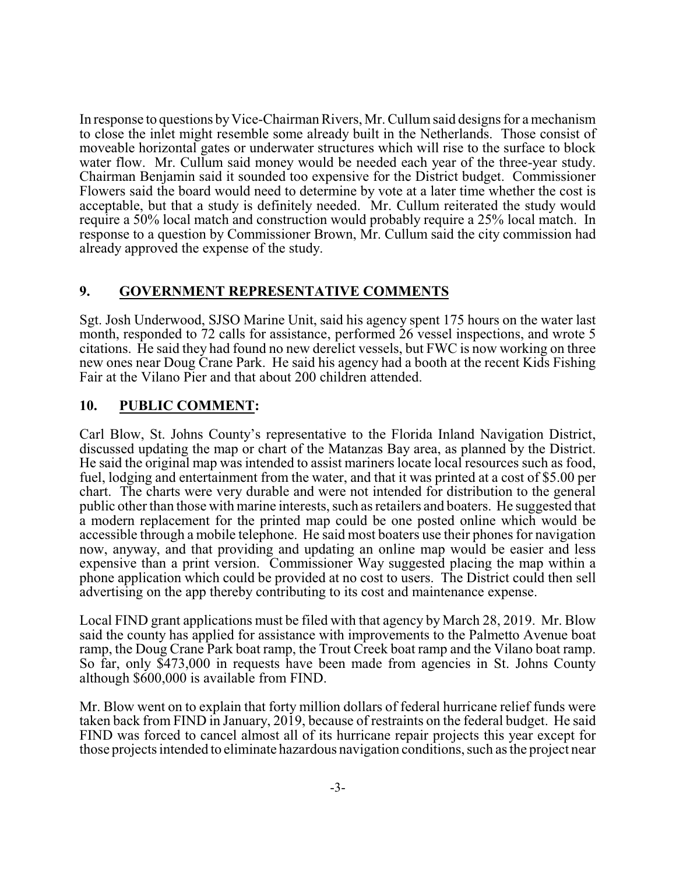In response to questions byVice-Chairman Rivers, Mr. Cullumsaid designs for a mechanism to close the inlet might resemble some already built in the Netherlands. Those consist of moveable horizontal gates or underwater structures which will rise to the surface to block water flow. Mr. Cullum said money would be needed each year of the three-year study. Chairman Benjamin said it sounded too expensive for the District budget. Commissioner Flowers said the board would need to determine by vote at a later time whether the cost is acceptable, but that a study is definitely needed. Mr. Cullum reiterated the study would require a 50% local match and construction would probably require a 25% local match. In response to a question by Commissioner Brown, Mr. Cullum said the city commission had already approved the expense of the study.

# **9. GOVERNMENT REPRESENTATIVE COMMENTS**

Sgt. Josh Underwood, SJSO Marine Unit, said his agency spent 175 hours on the water last month, responded to 72 calls for assistance, performed 26 vessel inspections, and wrote 5 citations. He said they had found no new derelict vessels, but FWC is now working on three new ones near Doug Crane Park. He said his agency had a booth at the recent Kids Fishing Fair at the Vilano Pier and that about 200 children attended.

# **10. PUBLIC COMMENT:**

Carl Blow, St. Johns County's representative to the Florida Inland Navigation District, discussed updating the map or chart of the Matanzas Bay area, as planned by the District. He said the original map was intended to assist mariners locate local resources such as food, fuel, lodging and entertainment from the water, and that it was printed at a cost of \$5.00 per chart. The charts were very durable and were not intended for distribution to the general public other than those with marine interests, such as retailers and boaters. He suggested that a modern replacement for the printed map could be one posted online which would be accessible through a mobile telephone. He said most boaters use their phones for navigation now, anyway, and that providing and updating an online map would be easier and less expensive than a print version. Commissioner Way suggested placing the map within a phone application which could be provided at no cost to users. The District could then sell advertising on the app thereby contributing to its cost and maintenance expense.

Local FIND grant applications must be filed with that agency by March 28, 2019. Mr. Blow said the county has applied for assistance with improvements to the Palmetto Avenue boat ramp, the Doug Crane Park boat ramp, the Trout Creek boat ramp and the Vilano boat ramp. So far, only \$473,000 in requests have been made from agencies in St. Johns County although \$600,000 is available from FIND.

Mr. Blow went on to explain that forty million dollars of federal hurricane relief funds were taken back from FIND in January, 2019, because of restraints on the federal budget. He said FIND was forced to cancel almost all of its hurricane repair projects this year except for those projects intended to eliminate hazardous navigation conditions, such as the project near